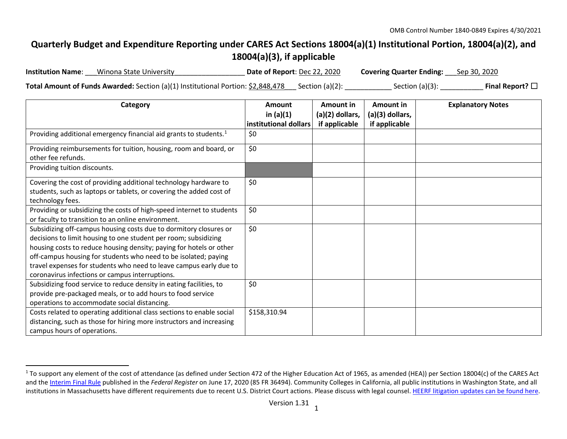## <span id="page-0-0"></span>**Quarterly Budget and Expenditure Reporting under CARES Act Sections 18004(a)(1) Institutional Portion, 18004(a)(2), and 18004(a)(3), if applicable**

| <b>Institution Name:</b> | Winona State University                                                                                            | Date of Report: Dec 22, 2020 | <b>Covering Quarter Ending:</b> Sep 30, 2020 |                         |
|--------------------------|--------------------------------------------------------------------------------------------------------------------|------------------------------|----------------------------------------------|-------------------------|
|                          | <b>Total Amount of Funds Awarded:</b> Section (a)(1) Institutional Portion: $\frac{62,848,478}{2}$ Section (a)(2): |                              | Section $(a)(3)$ :                           | Final Report? $\square$ |

| Category                                                                                                                                                                                                                                                                                                                                                                                                | <b>Amount</b><br>in $(a)(1)$<br>institutional dollars | Amount in<br>$(a)(2)$ dollars,<br>if applicable | Amount in<br>(a)(3) dollars,<br>if applicable | <b>Explanatory Notes</b> |
|---------------------------------------------------------------------------------------------------------------------------------------------------------------------------------------------------------------------------------------------------------------------------------------------------------------------------------------------------------------------------------------------------------|-------------------------------------------------------|-------------------------------------------------|-----------------------------------------------|--------------------------|
| Providing additional emergency financial aid grants to students. <sup>1</sup>                                                                                                                                                                                                                                                                                                                           | \$0                                                   |                                                 |                                               |                          |
| Providing reimbursements for tuition, housing, room and board, or<br>other fee refunds.                                                                                                                                                                                                                                                                                                                 | \$0                                                   |                                                 |                                               |                          |
| Providing tuition discounts.                                                                                                                                                                                                                                                                                                                                                                            |                                                       |                                                 |                                               |                          |
| Covering the cost of providing additional technology hardware to<br>students, such as laptops or tablets, or covering the added cost of<br>technology fees.                                                                                                                                                                                                                                             | \$0                                                   |                                                 |                                               |                          |
| Providing or subsidizing the costs of high-speed internet to students<br>or faculty to transition to an online environment.                                                                                                                                                                                                                                                                             | \$0                                                   |                                                 |                                               |                          |
| Subsidizing off-campus housing costs due to dormitory closures or<br>decisions to limit housing to one student per room; subsidizing<br>housing costs to reduce housing density; paying for hotels or other<br>off-campus housing for students who need to be isolated; paying<br>travel expenses for students who need to leave campus early due to<br>coronavirus infections or campus interruptions. | \$0                                                   |                                                 |                                               |                          |
| Subsidizing food service to reduce density in eating facilities, to<br>provide pre-packaged meals, or to add hours to food service<br>operations to accommodate social distancing.                                                                                                                                                                                                                      | \$0                                                   |                                                 |                                               |                          |
| Costs related to operating additional class sections to enable social<br>distancing, such as those for hiring more instructors and increasing<br>campus hours of operations.                                                                                                                                                                                                                            | \$158,310.94                                          |                                                 |                                               |                          |

<sup>&</sup>lt;sup>1</sup> To support any element of the cost of attendance (as defined under Section 472 of the Higher Education Act of 1965, as amended (HEA)) per Section 18004(c) of the CARES Act and th[e Interim Final Rule](https://www.federalregister.gov/documents/2020/06/17/2020-12965/eligibility-of-students-at-institutions-of-higher-education-for-funds-under-the-coronavirus-aid) published in the *Federal Register* on June 17, 2020 (85 FR 36494). Community Colleges in California, all public institutions in Washington State, and all institutions in Massachusetts have different requirements due to recent U.S. District Court actions. Please discuss with legal counsel[. HEERF litigation updates can be found here.](https://www2.ed.gov/about/offices/list/ope/heerfupdates.html)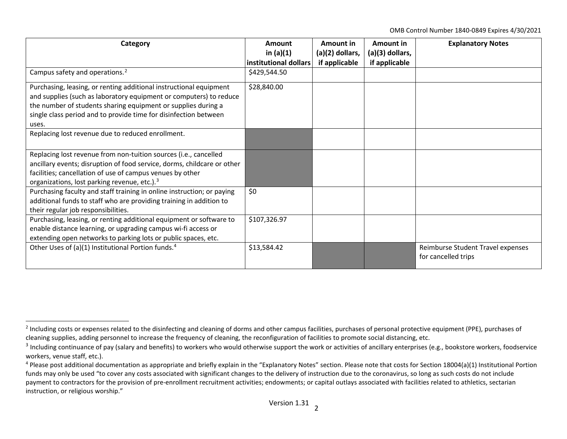<span id="page-1-2"></span><span id="page-1-1"></span><span id="page-1-0"></span>OMB Control Number 1840-0849 Expires 4/30/2021

| Category                                                                | Amount                | Amount in       | Amount in       | <b>Explanatory Notes</b>          |
|-------------------------------------------------------------------------|-----------------------|-----------------|-----------------|-----------------------------------|
|                                                                         | in $(a)(1)$           | (a)(2) dollars, | (a)(3) dollars, |                                   |
|                                                                         | institutional dollars | if applicable   | if applicable   |                                   |
| Campus safety and operations. <sup>2</sup>                              | \$429,544.50          |                 |                 |                                   |
| Purchasing, leasing, or renting additional instructional equipment      | \$28,840.00           |                 |                 |                                   |
| and supplies (such as laboratory equipment or computers) to reduce      |                       |                 |                 |                                   |
| the number of students sharing equipment or supplies during a           |                       |                 |                 |                                   |
| single class period and to provide time for disinfection between        |                       |                 |                 |                                   |
| uses.                                                                   |                       |                 |                 |                                   |
| Replacing lost revenue due to reduced enrollment.                       |                       |                 |                 |                                   |
|                                                                         |                       |                 |                 |                                   |
| Replacing lost revenue from non-tuition sources (i.e., cancelled        |                       |                 |                 |                                   |
| ancillary events; disruption of food service, dorms, childcare or other |                       |                 |                 |                                   |
| facilities; cancellation of use of campus venues by other               |                       |                 |                 |                                   |
| organizations, lost parking revenue, etc.). <sup>3</sup>                |                       |                 |                 |                                   |
| Purchasing faculty and staff training in online instruction; or paying  | \$0                   |                 |                 |                                   |
| additional funds to staff who are providing training in addition to     |                       |                 |                 |                                   |
| their regular job responsibilities.                                     |                       |                 |                 |                                   |
| Purchasing, leasing, or renting additional equipment or software to     | \$107,326.97          |                 |                 |                                   |
| enable distance learning, or upgrading campus wi-fi access or           |                       |                 |                 |                                   |
| extending open networks to parking lots or public spaces, etc.          |                       |                 |                 |                                   |
| Other Uses of (a)(1) Institutional Portion funds. <sup>4</sup>          | \$13,584.42           |                 |                 | Reimburse Student Travel expenses |
|                                                                         |                       |                 |                 | for cancelled trips               |

 $<sup>2</sup>$  Including costs or expenses related to the disinfecting and cleaning of dorms and other campus facilities, purchases of personal protective equipment (PPE), purchases of</sup> cleaning supplies, adding personnel to increase the frequency of cleaning, the reconfiguration of facilities to promote social distancing, etc.

 $3$  Including continuance of pay (salary and benefits) to workers who would otherwise support the work or activities of ancillary enterprises (e.g., bookstore workers, foodservice workers, venue staff, etc.).

<sup>&</sup>lt;sup>4</sup> Please post additional documentation as appropriate and briefly explain in the "Explanatory Notes" section. Please note that costs for Section 18004(a)(1) Institutional Portion funds may only be used "to cover any costs associated with significant changes to the delivery of instruction due to the coronavirus, so long as such costs do not include payment to contractors for the provision of pre-enrollment recruitment activities; endowments; or capital outlays associated with facilities related to athletics, sectarian instruction, or religious worship."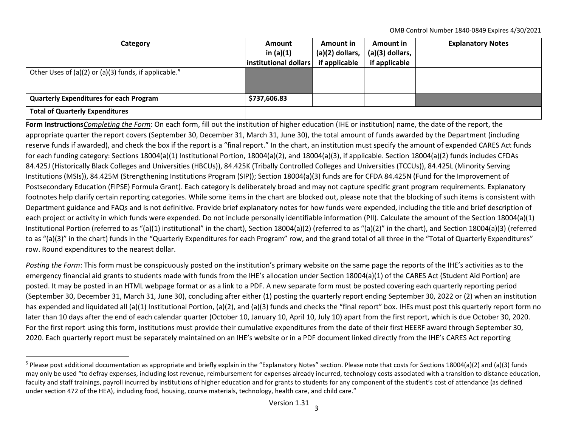<span id="page-2-0"></span>OMB Control Number 1840-0849 Expires 4/30/2021

| Category                                                          | <b>Amount</b><br>in $(a)(1)$<br>$ $ institutional dollars $ $ | Amount in<br>$(a)(2)$ dollars,<br>if applicable | <b>Amount in</b><br>$(a)(3)$ dollars,<br>if applicable | <b>Explanatory Notes</b> |
|-------------------------------------------------------------------|---------------------------------------------------------------|-------------------------------------------------|--------------------------------------------------------|--------------------------|
|                                                                   |                                                               |                                                 |                                                        |                          |
| Other Uses of (a)(2) or (a)(3) funds, if applicable. <sup>5</sup> |                                                               |                                                 |                                                        |                          |
| <b>Quarterly Expenditures for each Program</b>                    | \$737,606.83                                                  |                                                 |                                                        |                          |
| <b>Total of Quarterly Expenditures</b>                            |                                                               |                                                 |                                                        |                          |

**Form Instructions***Completing the Form*: On each form, fill out the institution of higher education (IHE or institution) name, the date of the report, the appropriate quarter the report covers (September 30, December 31, March 31, June 30), the total amount of funds awarded by the Department (including reserve funds if awarded), and check the box if the report is a "final report." In the chart, an institution must specify the amount of expended CARES Act funds for each funding category: Sections 18004(a)(1) Institutional Portion, 18004(a)(2), and 18004(a)(3), if applicable. Section 18004(a)(2) funds includes CFDAs 84.425J (Historically Black Colleges and Universities (HBCUs)), 84.425K (Tribally Controlled Colleges and Universities (TCCUs)), 84.425L (Minority Serving Institutions (MSIs)), 84.425M (Strengthening Institutions Program (SIP)); Section 18004(a)(3) funds are for CFDA 84.425N (Fund for the Improvement of Postsecondary Education (FIPSE) Formula Grant). Each category is deliberately broad and may not capture specific grant program requirements. Explanatory footnotes help clarify certain reporting categories. While some items in the chart are blocked out, please note that the blocking of such items is consistent with Department guidance and FAQs and is not definitive. Provide brief explanatory notes for how funds were expended, including the title and brief description of each project or activity in which funds were expended. Do not include personally identifiable information (PII). Calculate the amount of the Section 18004(a)(1) Institutional Portion (referred to as "(a)(1) institutional" in the chart), Section 18004(a)(2) (referred to as "(a)(2)" in the chart), and Section 18004(a)(3) (referred to as "(a)(3)" in the chart) funds in the "Quarterly Expenditures for each Program" row, and the grand total of all three in the "Total of Quarterly Expenditures" row. Round expenditures to the nearest dollar.

*Posting the Form*: This form must be conspicuously posted on the institution's primary website on the same page the reports of the IHE's activities as to the emergency financial aid grants to students made with funds from the IHE's allocation under Section 18004(a)(1) of the CARES Act (Student Aid Portion) are posted. It may be posted in an HTML webpage format or as a link to a PDF. A new separate form must be posted covering each quarterly reporting period (September 30, December 31, March 31, June 30), concluding after either (1) posting the quarterly report ending September 30, 2022 or (2) when an institution has expended and liquidated all (a)(1) Institutional Portion, (a)(2), and (a)(3) funds and checks the "final report" box. IHEs must post this quarterly report form no later than 10 days after the end of each calendar quarter (October 10, January 10, April 10, July 10) apart from the first report, which is due October 30, 2020. For the first report using this form, institutions must provide their cumulative expenditures from the date of their first HEERF award through September 30, 2020. Each quarterly report must be separately maintained on an IHE's website or in a PDF document linked directly from the IHE's CARES Act reporting

<sup>&</sup>lt;sup>5</sup> Please post additional documentation as appropriate and briefly explain in the "Explanatory Notes" section. Please note that costs for Sections 18004(a)(2) and (a)(3) funds may only be used "to defray expenses, including lost revenue, reimbursement for expenses already incurred, technology costs associated with a transition to distance education, faculty and staff trainings, payroll incurred by institutions of higher education and for grants to students for any component of the student's cost of attendance (as defined under section 472 of the HEA), including food, housing, course materials, technology, health care, and child care."